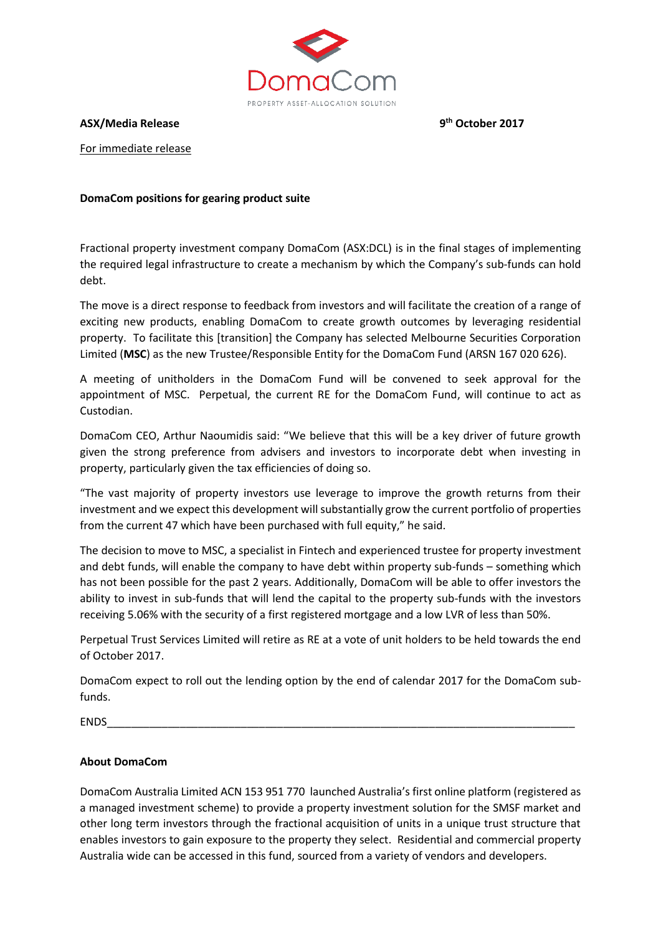

**ASX/Media Release 9**

**th October 2017**

For immediate release

# **DomaCom positions for gearing product suite**

Fractional property investment company DomaCom (ASX:DCL) is in the final stages of implementing the required legal infrastructure to create a mechanism by which the Company's sub-funds can hold debt.

The move is a direct response to feedback from investors and will facilitate the creation of a range of exciting new products, enabling DomaCom to create growth outcomes by leveraging residential property. To facilitate this [transition] the Company has selected Melbourne Securities Corporation Limited (**MSC**) as the new Trustee/Responsible Entity for the DomaCom Fund (ARSN 167 020 626).

A meeting of unitholders in the DomaCom Fund will be convened to seek approval for the appointment of MSC. Perpetual, the current RE for the DomaCom Fund, will continue to act as Custodian.

DomaCom CEO, Arthur Naoumidis said: "We believe that this will be a key driver of future growth given the strong preference from advisers and investors to incorporate debt when investing in property, particularly given the tax efficiencies of doing so.

"The vast majority of property investors use leverage to improve the growth returns from their investment and we expect this development will substantially grow the current portfolio of properties from the current 47 which have been purchased with full equity," he said.

The decision to move to MSC, a specialist in Fintech and experienced trustee for property investment and debt funds, will enable the company to have debt within property sub-funds – something which has not been possible for the past 2 years. Additionally, DomaCom will be able to offer investors the ability to invest in sub-funds that will lend the capital to the property sub-funds with the investors receiving 5.06% with the security of a first registered mortgage and a low LVR of less than 50%.

Perpetual Trust Services Limited will retire as RE at a vote of unit holders to be held towards the end of October 2017.

DomaCom expect to roll out the lending option by the end of calendar 2017 for the DomaCom subfunds.

ENDS\_\_\_\_\_\_\_\_\_\_\_\_\_\_\_\_\_\_\_\_\_\_\_\_\_\_\_\_\_\_\_\_\_\_\_\_\_\_\_\_\_\_\_\_\_\_\_\_\_\_\_\_\_\_\_\_\_\_\_\_\_\_\_\_\_\_\_\_\_\_\_\_\_\_\_\_\_

# **About DomaCom**

DomaCom Australia Limited ACN 153 951 770 launched Australia's first online platform (registered as a managed investment scheme) to provide a property investment solution for the SMSF market and other long term investors through the fractional acquisition of units in a unique trust structure that enables investors to gain exposure to the property they select. Residential and commercial property Australia wide can be accessed in this fund, sourced from a variety of vendors and developers.